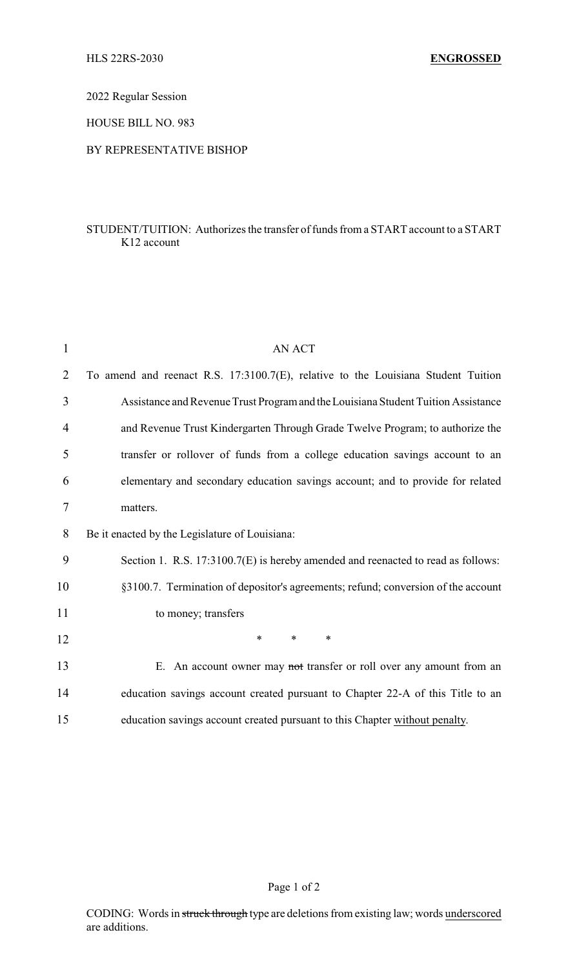2022 Regular Session

HOUSE BILL NO. 983

## BY REPRESENTATIVE BISHOP

## STUDENT/TUITION: Authorizes the transfer of funds from a START account to a START K12 account

| $\mathbf{1}$   | <b>AN ACT</b>                                                                     |
|----------------|-----------------------------------------------------------------------------------|
| $\overline{2}$ | To amend and reenact R.S. 17:3100.7(E), relative to the Louisiana Student Tuition |
| 3              | Assistance and Revenue Trust Program and the Louisiana Student Tuition Assistance |
| 4              | and Revenue Trust Kindergarten Through Grade Twelve Program; to authorize the     |
| 5              | transfer or rollover of funds from a college education savings account to an      |
| 6              | elementary and secondary education savings account; and to provide for related    |
| $\tau$         | matters.                                                                          |
| 8              | Be it enacted by the Legislature of Louisiana:                                    |
| 9              | Section 1. R.S. 17:3100.7(E) is hereby amended and reenacted to read as follows:  |
| 10             | §3100.7. Termination of depositor's agreements; refund; conversion of the account |
| 11             | to money; transfers                                                               |
| 12             | *<br>*<br>$\ast$                                                                  |
| 13             | E. An account owner may not transfer or roll over any amount from an              |
| 14             | education savings account created pursuant to Chapter 22-A of this Title to an    |
| 15             | education savings account created pursuant to this Chapter without penalty.       |

Page 1 of 2